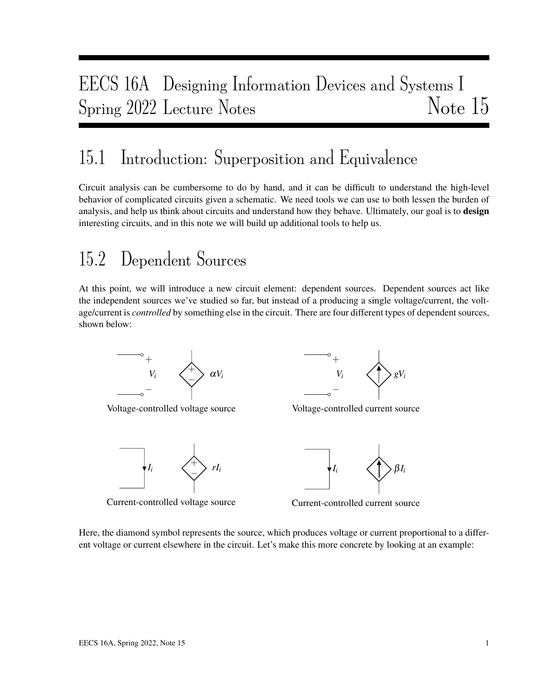# EECS 16A Designing Information Devices and Systems I Spring 2022 Lecture Notes Note 15

## 15.1 Introduction: Superposition and Equivalence

Circuit analysis can be cumbersome to do by hand, and it can be difficult to understand the high-level behavior of complicated circuits given a schematic. We need tools we can use to both lessen the burden of analysis, and help us think about circuits and understand how they behave. Ultimately, our goal is to design interesting circuits, and in this note we will build up additional tools to help us.

## 15.2 Dependent Sources

At this point, we will introduce a new circuit element: dependent sources. Dependent sources act like the independent sources we've studied so far, but instead of a producing a single voltage/current, the voltage/current is *controlled* by something else in the circuit. There are four different types of dependent sources, shown below:



Voltage-controlled voltage source



Current-controlled voltage source



Voltage-controlled current source



Current-controlled current source

Here, the diamond symbol represents the source, which produces voltage or current proportional to a different voltage or current elsewhere in the circuit. Let's make this more concrete by looking at an example: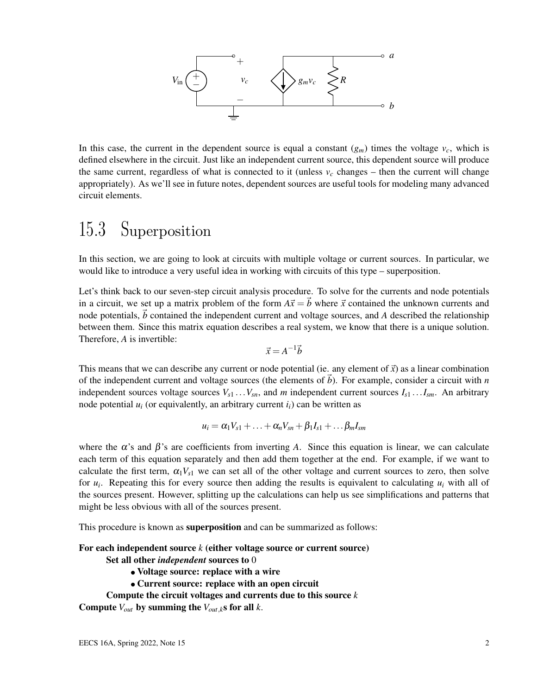

In this case, the current in the dependent source is equal a constant  $(g_m)$  times the voltage  $v_c$ , which is defined elsewhere in the circuit. Just like an independent current source, this dependent source will produce the same current, regardless of what is connected to it (unless  $v_c$  changes – then the current will change appropriately). As we'll see in future notes, dependent sources are useful tools for modeling many advanced circuit elements.

## 15.3 Superposition

In this section, we are going to look at circuits with multiple voltage or current sources. In particular, we would like to introduce a very useful idea in working with circuits of this type – superposition.

Let's think back to our seven-step circuit analysis procedure. To solve for the currents and node potentials in a circuit, we set up a matrix problem of the form  $A\vec{x} = \vec{b}$  where  $\vec{x}$  contained the unknown currents and node potentials,  $\vec{b}$  contained the independent current and voltage sources, and *A* described the relationship between them. Since this matrix equation describes a real system, we know that there is a unique solution. Therefore, *A* is invertible:

$$
\vec{x} = A^{-1}\vec{b}
$$

This means that we can describe any current or node potential (ie. any element of  $\vec{x}$ ) as a linear combination of the independent current and voltage sources (the elements of  $\vec{b}$ ). For example, consider a circuit with *n* independent sources voltage sources  $V_{s1}$ ... $V_{sn}$ , and *m* independent current sources  $I_{s1}$ ... $I_{sm}$ . An arbitrary node potential  $u_i$  (or equivalently, an arbitrary current  $i_i$ ) can be written as

$$
u_i = \alpha_1 V_{s1} + \ldots + \alpha_n V_{sn} + \beta_1 I_{s1} + \ldots \beta_m I_{sm}
$$

where the  $\alpha$ 's and  $\beta$ 's are coefficients from inverting A. Since this equation is linear, we can calculate each term of this equation separately and then add them together at the end. For example, if we want to calculate the first term,  $\alpha_1 V_{s1}$  we can set all of the other voltage and current sources to zero, then solve for  $u_i$ . Repeating this for every source then adding the results is equivalent to calculating  $u_i$  with all of the sources present. However, splitting up the calculations can help us see simplifications and patterns that might be less obvious with all of the sources present.

This procedure is known as **superposition** and can be summarized as follows:

#### For each independent source *k* (either voltage source or current source)

- Set all other *independent* sources to 0
	- Voltage source: replace with a wire
	- Current source: replace with an open circuit
- Compute the circuit voltages and currents due to this source *k*

Compute  $V_{out}$  by summing the  $V_{out,k}$ s for all *k*.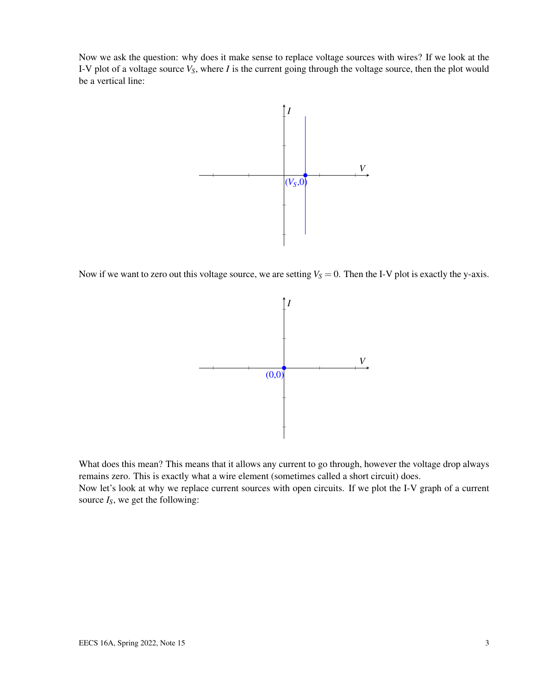Now we ask the question: why does it make sense to replace voltage sources with wires? If we look at the I-V plot of a voltage source *VS*, where *I* is the current going through the voltage source, then the plot would be a vertical line:



Now if we want to zero out this voltage source, we are setting  $V_s = 0$ . Then the I-V plot is exactly the y-axis.



What does this mean? This means that it allows any current to go through, however the voltage drop always remains zero. This is exactly what a wire element (sometimes called a short circuit) does. Now let's look at why we replace current sources with open circuits. If we plot the I-V graph of a current source  $I_S$ , we get the following: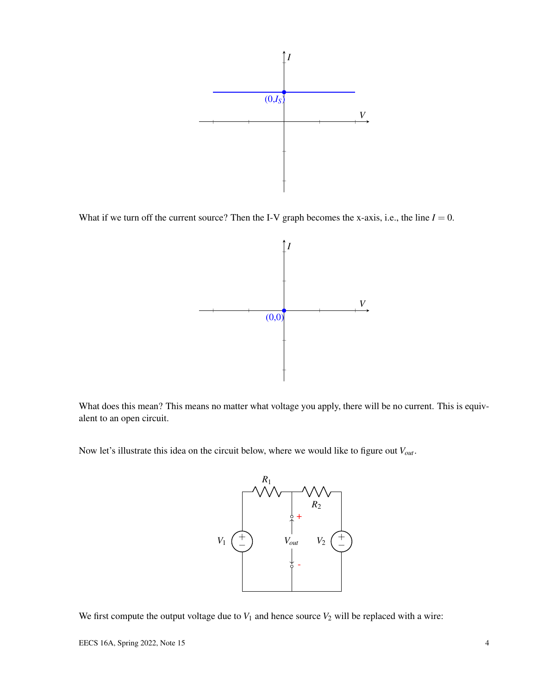

What if we turn off the current source? Then the I-V graph becomes the x-axis, i.e., the line  $I = 0$ .



What does this mean? This means no matter what voltage you apply, there will be no current. This is equivalent to an open circuit.

Now let's illustrate this idea on the circuit below, where we would like to figure out *Vout*.



We first compute the output voltage due to  $V_1$  and hence source  $V_2$  will be replaced with a wire: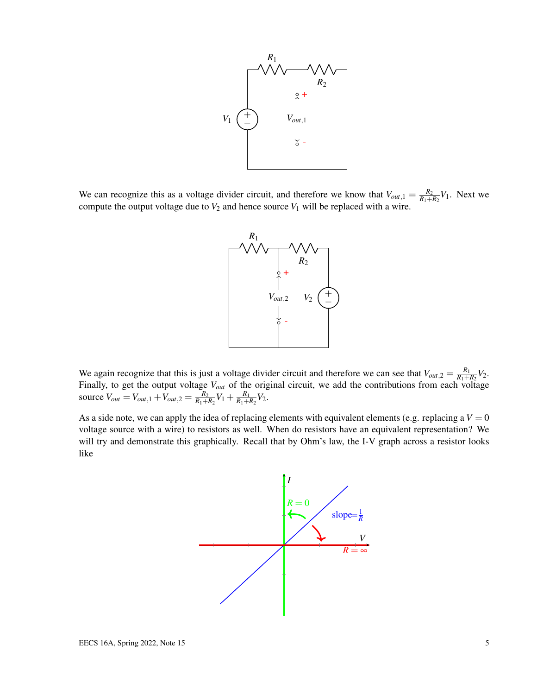

We can recognize this as a voltage divider circuit, and therefore we know that  $V_{out,1} = \frac{R_2}{R_1 + R_2}$  $\frac{R_2}{R_1+R_2}V_1$ . Next we compute the output voltage due to  $V_2$  and hence source  $V_1$  will be replaced with a wire.



We again recognize that this is just a voltage divider circuit and therefore we can see that  $V_{out,2} = \frac{R_1}{R_1 + R_2}$  $\frac{R_1}{R_1+R_2}V_2$ . Finally, to get the output voltage *Vout* of the original circuit, we add the contributions from each voltage source  $V_{out} = V_{out,1} + V_{out,2} = \frac{R_2}{R_1 + R_2}$  $\frac{R_2}{R_1+R_2}V_1 + \frac{R_1}{R_1+R_2}$  $\frac{R_1}{R_1+R_2}V_2$ .

As a side note, we can apply the idea of replacing elements with equivalent elements (e.g. replacing a  $V = 0$ voltage source with a wire) to resistors as well. When do resistors have an equivalent representation? We will try and demonstrate this graphically. Recall that by Ohm's law, the I-V graph across a resistor looks like

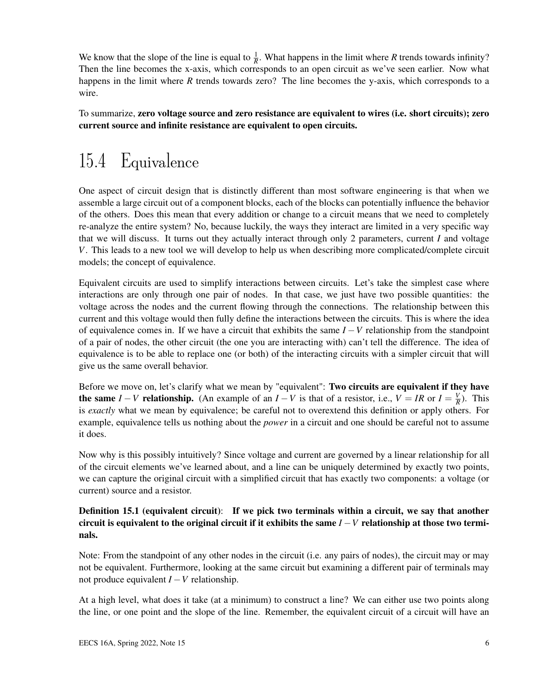We know that the slope of the line is equal to  $\frac{1}{R}$ . What happens in the limit where *R* trends towards infinity? Then the line becomes the x-axis, which corresponds to an open circuit as we've seen earlier. Now what happens in the limit where *R* trends towards zero? The line becomes the y-axis, which corresponds to a wire.

To summarize, zero voltage source and zero resistance are equivalent to wires (i.e. short circuits); zero current source and infinite resistance are equivalent to open circuits.

# 15.4 Equivalence

One aspect of circuit design that is distinctly different than most software engineering is that when we assemble a large circuit out of a component blocks, each of the blocks can potentially influence the behavior of the others. Does this mean that every addition or change to a circuit means that we need to completely re-analyze the entire system? No, because luckily, the ways they interact are limited in a very specific way that we will discuss. It turns out they actually interact through only 2 parameters, current *I* and voltage *V*. This leads to a new tool we will develop to help us when describing more complicated/complete circuit models; the concept of equivalence.

Equivalent circuits are used to simplify interactions between circuits. Let's take the simplest case where interactions are only through one pair of nodes. In that case, we just have two possible quantities: the voltage across the nodes and the current flowing through the connections. The relationship between this current and this voltage would then fully define the interactions between the circuits. This is where the idea of equivalence comes in. If we have a circuit that exhibits the same *I* −*V* relationship from the standpoint of a pair of nodes, the other circuit (the one you are interacting with) can't tell the difference. The idea of equivalence is to be able to replace one (or both) of the interacting circuits with a simpler circuit that will give us the same overall behavior.

Before we move on, let's clarify what we mean by "equivalent": Two circuits are equivalent if they have **the same** *I* − *V* relationship. (An example of an *I* − *V* is that of a resistor, i.e., *V* = *IR* or *I* =  $\frac{V}{R}$  $\frac{V}{R}$ ). This is *exactly* what we mean by equivalence; be careful not to overextend this definition or apply others. For example, equivalence tells us nothing about the *power* in a circuit and one should be careful not to assume it does.

Now why is this possibly intuitively? Since voltage and current are governed by a linear relationship for all of the circuit elements we've learned about, and a line can be uniquely determined by exactly two points, we can capture the original circuit with a simplified circuit that has exactly two components: a voltage (or current) source and a resistor.

#### Definition 15.1 (equivalent circuit): If we pick two terminals within a circuit, we say that another circuit is equivalent to the original circuit if it exhibits the same  $I-V$  relationship at those two terminals.

Note: From the standpoint of any other nodes in the circuit (i.e. any pairs of nodes), the circuit may or may not be equivalent. Furthermore, looking at the same circuit but examining a different pair of terminals may not produce equivalent *I* −*V* relationship.

At a high level, what does it take (at a minimum) to construct a line? We can either use two points along the line, or one point and the slope of the line. Remember, the equivalent circuit of a circuit will have an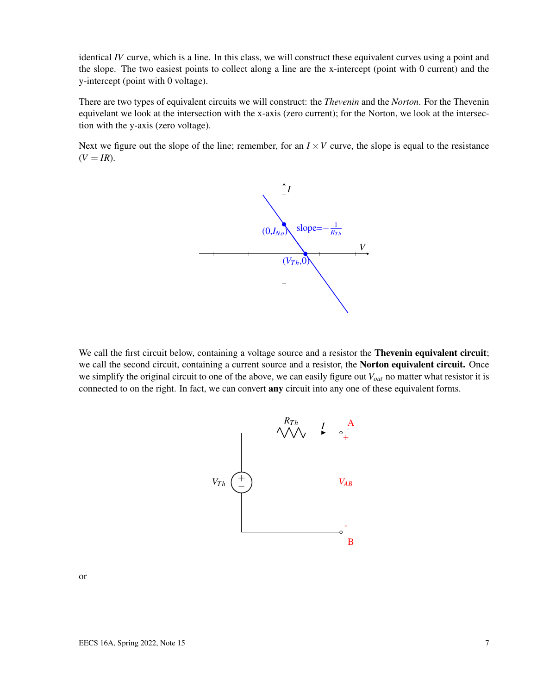identical *IV* curve, which is a line. In this class, we will construct these equivalent curves using a point and the slope. The two easiest points to collect along a line are the x-intercept (point with 0 current) and the y-intercept (point with 0 voltage).

There are two types of equivalent circuits we will construct: the *Thevenin* and the *Norton*. For the Thevenin equivelant we look at the intersection with the x-axis (zero current); for the Norton, we look at the intersection with the y-axis (zero voltage).

Next we figure out the slope of the line; remember, for an  $I \times V$  curve, the slope is equal to the resistance  $(V = IR)$ .



We call the first circuit below, containing a voltage source and a resistor the **Thevenin equivalent circuit**; we call the second circuit, containing a current source and a resistor, the **Norton equivalent circuit.** Once we simplify the original circuit to one of the above, we can easily figure out *Vout* no matter what resistor it is connected to on the right. In fact, we can convert **any** circuit into any one of these equivalent forms.



or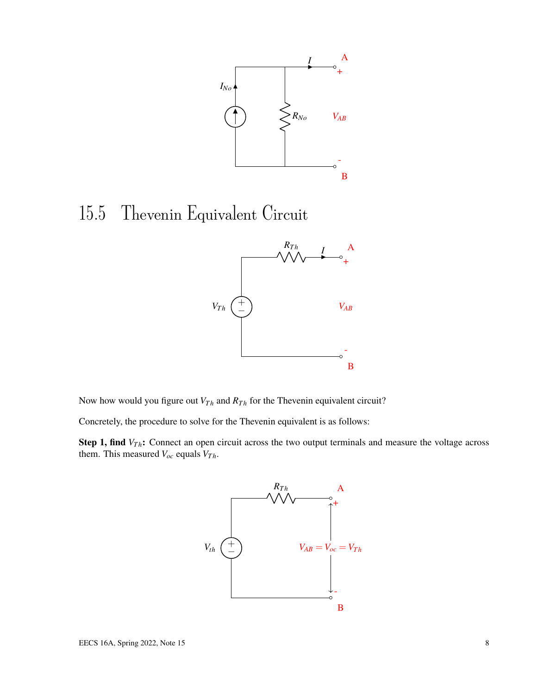

## 15.5 Thevenin Equivalent Circuit



Now how would you figure out  $V_{Th}$  and  $R_{Th}$  for the Thevenin equivalent circuit?

Concretely, the procedure to solve for the Thevenin equivalent is as follows:

Step 1, find *V<sub>Th</sub>*: Connect an open circuit across the two output terminals and measure the voltage across them. This measured  $V_{oc}$  equals  $V_{Th}$ .

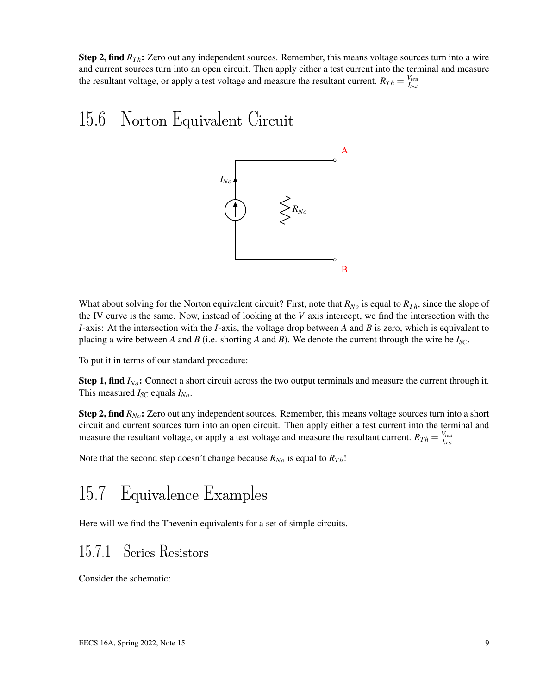**Step 2, find**  $R_{Th}$ **:** Zero out any independent sources. Remember, this means voltage sources turn into a wire and current sources turn into an open circuit. Then apply either a test current into the terminal and measure the resultant voltage, or apply a test voltage and measure the resultant current.  $R_{Th} = \frac{V_{test}}{I_{test}}$ *Itest*

## 15.6 Norton Equivalent Circuit



What about solving for the Norton equivalent circuit? First, note that  $R_{No}$  is equal to  $R_{Th}$ , since the slope of the IV curve is the same. Now, instead of looking at the *V* axis intercept, we find the intersection with the *I*-axis: At the intersection with the *I*-axis, the voltage drop between *A* and *B* is zero, which is equivalent to placing a wire between *A* and *B* (i.e. shorting *A* and *B*). We denote the current through the wire be  $I_{SC}$ .

To put it in terms of our standard procedure:

Step 1, find  $I_{No}$ : Connect a short circuit across the two output terminals and measure the current through it. This measured  $I_{SC}$  equals  $I_{No}$ .

Step 2, find *RNo*: Zero out any independent sources. Remember, this means voltage sources turn into a short circuit and current sources turn into an open circuit. Then apply either a test current into the terminal and measure the resultant voltage, or apply a test voltage and measure the resultant current.  $R_{Th} = \frac{V_{test}}{I_{test}}$ *Itest*

Note that the second step doesn't change because  $R_{No}$  is equal to  $R_{Th}$ !

## 15.7 Equivalence Examples

Here will we find the Thevenin equivalents for a set of simple circuits.

### <span id="page-8-0"></span>15.7.1 Series Resistors

Consider the schematic: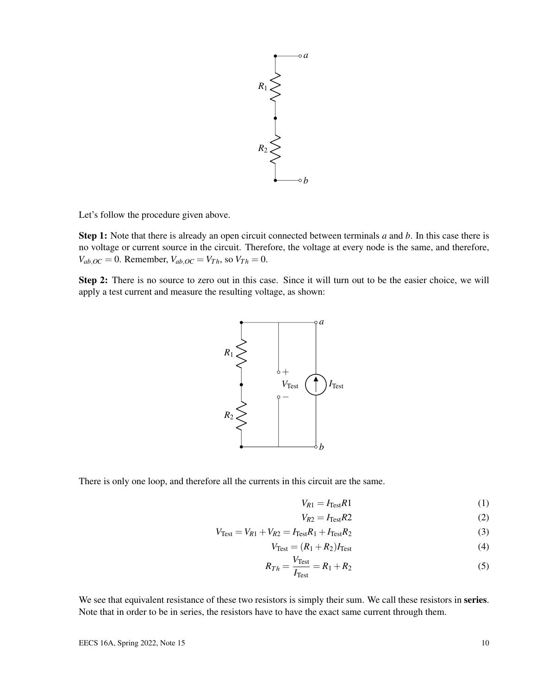

Let's follow the procedure given above.

Step 1: Note that there is already an open circuit connected between terminals *a* and *b*. In this case there is no voltage or current source in the circuit. Therefore, the voltage at every node is the same, and therefore,  $V_{ab,OC} = 0$ . Remember,  $V_{ab,OC} = V_{Th}$ , so  $V_{Th} = 0$ .

Step 2: There is no source to zero out in this case. Since it will turn out to be the easier choice, we will apply a test current and measure the resulting voltage, as shown:



There is only one loop, and therefore all the currents in this circuit are the same.

$$
V_{R1} = I_{\text{Test}}R1\tag{1}
$$

$$
V_{R2} = I_{\text{Test}}R2\tag{2}
$$

$$
V_{\text{Test}} = V_{R1} + V_{R2} = I_{\text{Test}}R_1 + I_{\text{Test}}R_2
$$
\n(3)

$$
V_{\text{Test}} = (R_1 + R_2)I_{\text{Test}} \tag{4}
$$

$$
R_{Th} = \frac{V_{\text{Test}}}{I_{\text{Test}}} = R_1 + R_2 \tag{5}
$$

We see that equivalent resistance of these two resistors is simply their sum. We call these resistors in series. Note that in order to be in series, the resistors have to have the exact same current through them.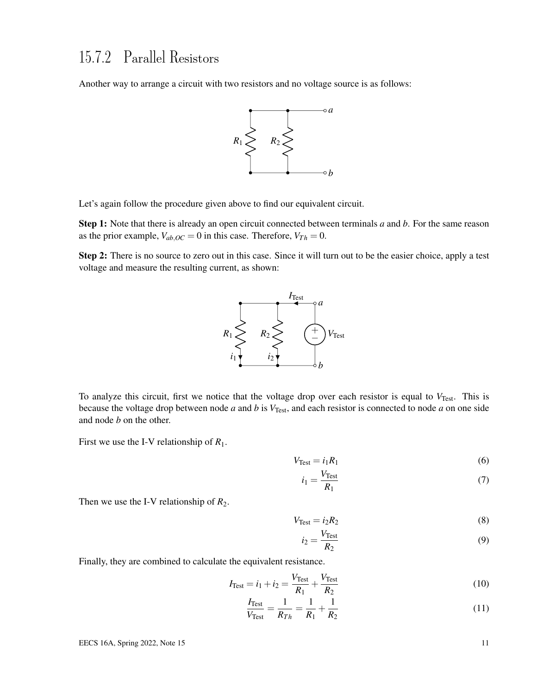### <span id="page-10-0"></span>15.7.2 Parallel Resistors

Another way to arrange a circuit with two resistors and no voltage source is as follows:



Let's again follow the procedure given above to find our equivalent circuit.

Step 1: Note that there is already an open circuit connected between terminals *a* and *b*. For the same reason as the prior example,  $V_{ab,OC} = 0$  in this case. Therefore,  $V_{Th} = 0$ .

Step 2: There is no source to zero out in this case. Since it will turn out to be the easier choice, apply a test voltage and measure the resulting current, as shown:



To analyze this circuit, first we notice that the voltage drop over each resistor is equal to V<sub>Test</sub>. This is because the voltage drop between node *a* and *b* is  $V_{Test}$ , and each resistor is connected to node *a* on one side and node *b* on the other.

First we use the I-V relationship of *R*1.

$$
V_{\text{Test}} = i_1 R_1 \tag{6}
$$

$$
i_1 = \frac{V_{\text{Test}}}{R_1} \tag{7}
$$

Then we use the I-V relationship of  $R_2$ .

$$
V_{\text{Test}} = i_2 R_2 \tag{8}
$$

$$
i_2 = \frac{V_{\text{Test}}}{R_2} \tag{9}
$$

Finally, they are combined to calculate the equivalent resistance.

$$
I_{\text{Test}} = i_1 + i_2 = \frac{V_{\text{Test}}}{R_1} + \frac{V_{\text{Test}}}{R_2}
$$
 (10)

$$
\frac{I_{\text{Test}}}{V_{\text{Test}}} = \frac{1}{R_{Th}} = \frac{1}{R_1} + \frac{1}{R_2}
$$
 (11)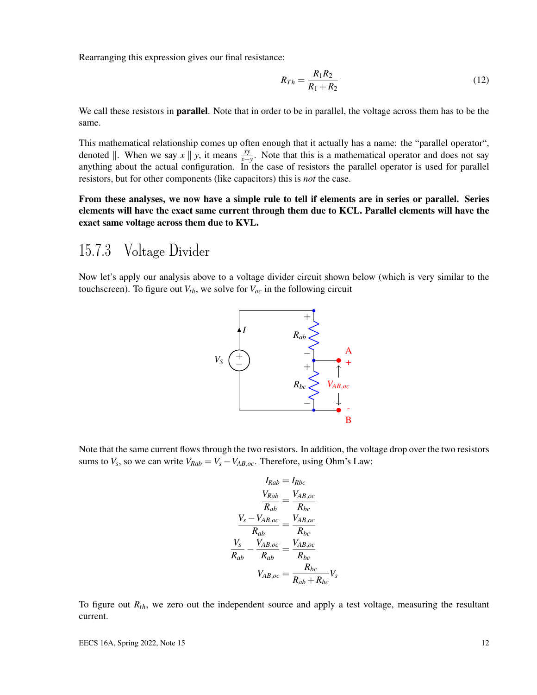Rearranging this expression gives our final resistance:

$$
R_{Th} = \frac{R_1 R_2}{R_1 + R_2} \tag{12}
$$

We call these resistors in **parallel**. Note that in order to be in parallel, the voltage across them has to be the same.

This mathematical relationship comes up often enough that it actually has a name: the "parallel operator", denoted  $\parallel$ . When we say  $x \parallel y$ , it means  $\frac{xy}{x+y}$ . Note that this is a mathematical operator and does not say anything about the actual configuration. In the case of resistors the parallel operator is used for parallel resistors, but for other components (like capacitors) this is *not* the case.

From these analyses, we now have a simple rule to tell if elements are in series or parallel. Series elements will have the exact same current through them due to KCL. Parallel elements will have the exact same voltage across them due to KVL.

#### 15.7.3 Voltage Divider

Now let's apply our analysis above to a voltage divider circuit shown below (which is very similar to the touchscreen). To figure out  $V_{th}$ , we solve for  $V_{oc}$  in the following circuit



Note that the same current flows through the two resistors. In addition, the voltage drop over the two resistors sums to  $V_s$ , so we can write  $V_{Rab} = V_s - V_{AB,oc}$ . Therefore, using Ohm's Law:

$$
I_{Rab} = I_{Rbc}
$$

$$
\frac{V_{Rab}}{R_{ab}} = \frac{V_{AB,oc}}{R_{bc}}
$$

$$
\frac{V_s - V_{AB,oc}}{R_{ab}} = \frac{V_{AB,oc}}{R_{bc}}
$$

$$
\frac{V_s}{R_{ab}} - \frac{V_{AB,oc}}{R_{ab}} = \frac{V_{AB,oc}}{R_{bc}}
$$

$$
V_{AB,oc} = \frac{R_{bc}}{R_{ab} + R_{bc}} V_s
$$

To figure out *Rth*, we zero out the independent source and apply a test voltage, measuring the resultant current.

EECS 16A, Spring 2022, Note 15 12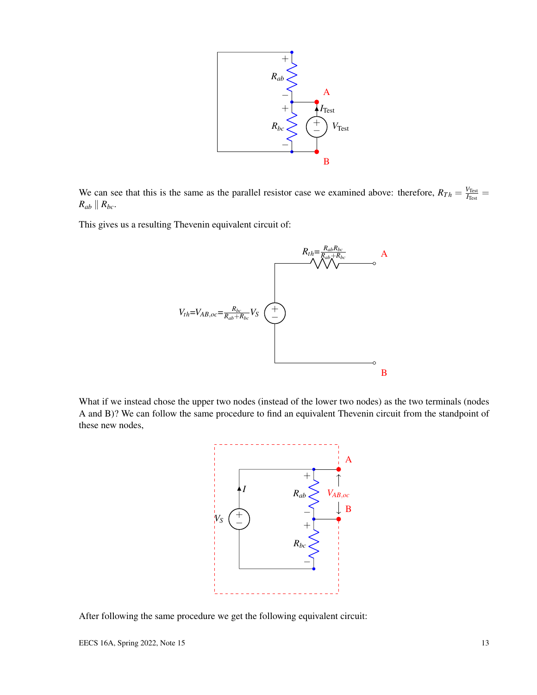

We can see that this is the same as the parallel resistor case we examined above: therefore,  $R_{Th} = \frac{V_{Test}}{I_{T_{est}}}$  $\frac{V_{\rm Test}}{I_{\rm Test}} =$  $R_{ab} \parallel R_{bc}$ .

This gives us a resulting Thevenin equivalent circuit of:



What if we instead chose the upper two nodes (instead of the lower two nodes) as the two terminals (nodes A and B)? We can follow the same procedure to find an equivalent Thevenin circuit from the standpoint of these new nodes,



After following the same procedure we get the following equivalent circuit: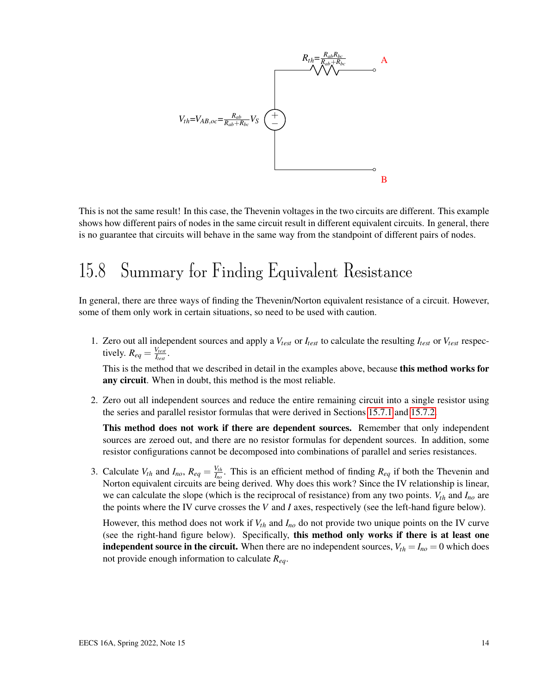

This is not the same result! In this case, the Thevenin voltages in the two circuits are different. This example shows how different pairs of nodes in the same circuit result in different equivalent circuits. In general, there is no guarantee that circuits will behave in the same way from the standpoint of different pairs of nodes.

## 15.8 Summary for Finding Equivalent Resistance

In general, there are three ways of finding the Thevenin/Norton equivalent resistance of a circuit. However, some of them only work in certain situations, so need to be used with caution.

1. Zero out all independent sources and apply a *Vtest* or *Itest* to calculate the resulting *Itest* or *Vtest* respectively.  $R_{eq} = \frac{V_{test}}{I_{test}}$  $\frac{V_{test}}{I_{test}}$  .

This is the method that we described in detail in the examples above, because this method works for any circuit. When in doubt, this method is the most reliable.

2. Zero out all independent sources and reduce the entire remaining circuit into a single resistor using the series and parallel resistor formulas that were derived in Sections [15.7.1](#page-8-0) and [15.7.2.](#page-10-0)

This method does not work if there are dependent sources. Remember that only independent sources are zeroed out, and there are no resistor formulas for dependent sources. In addition, some resistor configurations cannot be decomposed into combinations of parallel and series resistances.

3. Calculate  $V_{th}$  and  $I_{no}$ ,  $R_{eq} = \frac{V_{th}}{I_{no}}$  $I_{n\rho}$ . This is an efficient method of finding  $R_{eq}$  if both the Thevenin and Norton equivalent circuits are being derived. Why does this work? Since the IV relationship is linear, we can calculate the slope (which is the reciprocal of resistance) from any two points. *Vth* and *Ino* are the points where the IV curve crosses the *V* and *I* axes, respectively (see the left-hand figure below).

However, this method does not work if *Vth* and *Ino* do not provide two unique points on the IV curve (see the right-hand figure below). Specifically, this method only works if there is at least one **independent source in the circuit.** When there are no independent sources,  $V_{th} = I_{no} = 0$  which does not provide enough information to calculate *Req*.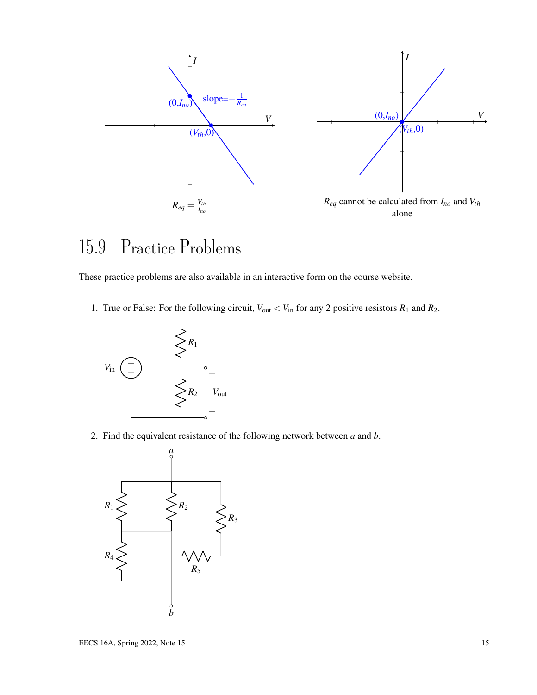

## 15.9 Practice Problems

These practice problems are also available in an interactive form on the course website.

1. True or False: For the following circuit,  $V_{\text{out}} < V_{\text{in}}$  for any 2 positive resistors  $R_1$  and  $R_2$ .



2. Find the equivalent resistance of the following network between *a* and *b*.